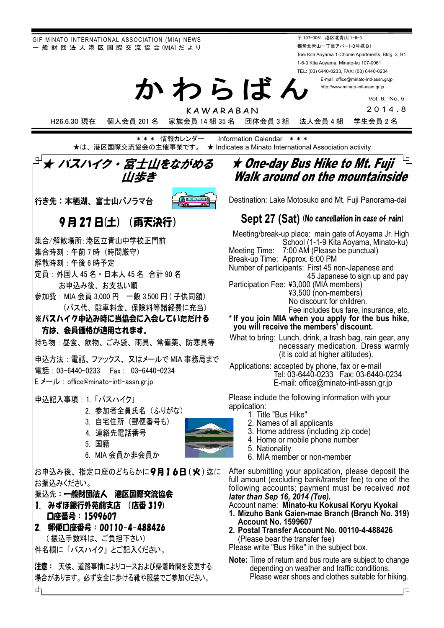GIF MINATO INTERNATIONAL ASSOCIATION (MIA) NEWS - 般 財 団 法 人 港 区 国 際 交 流 協 会 (MIA) だ よ り

〒 107-0061 港区北青山 1-6-3 都営北青山一丁目アパート3号棟 B1 Toei Kita Aoyama 1-Chome Apartments, Bldg. 3, B1 1-6-3 Kita Aoyama; Minato-ku 107-0061 TEL: (03) 6440-0233, FAX: (03) 6440-0234

E-mail: office@minato-intl-assn.gr.jp http://www.minato-intl-assn.gr.jp

Vol. 6, No. 5

2014.8

KAWARABAN H26.6.30 現在 個人会員 201 名 家族会員 14 組 35 名 団体会員 3 組 法人会員 4 組 学生会員 2 名

かわらばん

**\*\*\* 情報カレンダー Information Calendar \*\*\*** ★は、港区国際交流協会の主催事業です。 ★ Indicates a Minato International Association activity

# ★ バスハイク・富士山をながめる ///歩き

行き先:本栖湖、富士山パノラマ台



## 9 月 27 日(土)(雨天決行)

集合/解散場所: 港区立青山中学校正門前

- 集合時刻:午前7時 (時間厳守)
- 解散時刻: 午後 6 時予定
- 定員: 外国人 45 名 · 日本人 45 名 合計 90 名 お申込み後、お支払い順
- 参加費:MIA 会員 3,000 円 一般 3,500 円 ( 子供同額) (バス代、駐車料金、保険料等諸経費に充当)

※バスハイク申込み時に当協会に入会していただける 方は、会員価格が適用されます。

持ち物:昼食、飲物、ごみ袋、雨具、常備薬、防寒具等

申込方法: 電話、ファックス、又はメールで MIA 事務局まで 雷話: 03-6440-0233 Fax: 03-6440-0234 E メール: office@minato-intl-assn.gr.jp

### 申込記入事項: 1. 「バスハイク」

- 2. 参加者全員氏名 (ふりがな)
- 3. 自宅住所 (郵便番号も)
- 4. 名. 連絡先電話番号

6. MIA 会員か非会員か

- 5. 国籍
- 

お申込み後、指定口座のどちらかに9月16日(火)迄に お振込みください。

振込先:一般財団法人 港区国際交流協会

- 1. みずほ銀行外苑前支店 (店番 319) 口座番号: 1599607
- 2. 郵便口座番号: 00110-4-488426

(振込手数料は、ご負担下さい) 件名欄に「バスハイク」とご記入ください。

凸

注意: 天候、道路事情によりコースおよび帰着時間を変更する 場合があります。必ず安全に歩ける靴や服装でご参加ください。

# $\star$  One-day Bus Hike to Mt. Fuji  $\overline{\phantom{a}}$ Walk around on the mountainside

Destination: Lake Motosuko and Mt. Fuji Panorama-dai

## **Sept 27 (Sat)** (No cancellation in case of rain)

Meeting/break-up place: main gate of Aoyama Jr. High School (1-1-9 Kita Aoyama, Minato-ku) Meeting Time: 7:00 AM (Please be punctual) Break-up Time: Approx. 6:00 PM Number of participants: First 45 non-Japanese and 45 Japanese to sign up and pay Participation Fee: ¥3,000 (MIA members) 㼈3,500 (non-members) No discount for children. Fee includes bus fare, insurance, etc. **\* If you join MIA when you apply for the bus hike, you will receive the members' discount.**

What to bring: Lunch, drink, a trash bag, rain gear, any necessary medication. Dress warmly (it is cold at higher altitudes).

Applications: accepted by phone, fax or e-mail Tel: 03-6440-0233 Fax: 03-6440-0234 E-mail: office@minato-intl-assn.gr.jp

Please include the following information with your application:

- 1. Title "Bus Hike"
- 2. Names of all applicants
- 3. Home address (including zip code)
- 4. Home or mobile phone number
- 5. Nationality
- 6. MIA member or non-member

After submitting your application, please deposit the full amount (excluding bank/transfer fee) to one of the following accounts; payment must be received **not** *later than Sep 16, 2014 (Tue).*

Account name: **Minato-ku Kokusai Koryu Kyokai**

- **1. Mizuho Bank Gaien-mae Branch (Branch No. 319) Account No. 1599607**
- **2. Postal Transfer Account No. 00110-4-488426** (Please bear the transfer fee)

Please write "Bus Hike" in the subject box.

**Note:** Time of return and bus route are subject to change depending on weather and traffic conditions. Please wear shoes and clothes suitable for hiking.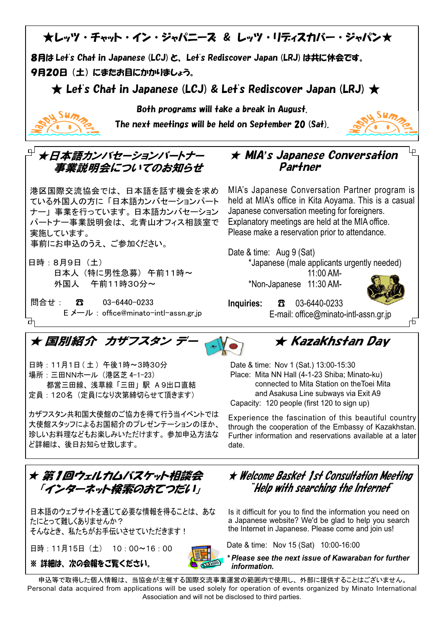

日時: 11月1日 (土) 午後1時~3時30分 場所: 三田NNホール (港区芝 4-1-23) 都営三田線、浅草線「三田」駅 A9出口直結 定員: 120名 (定員になり次第締切らせて頂きます)

カザフスタン共和国大使館のご協力を得て行う当イベントでは 大使館スタッフによるお国紹介のプレゼンテーションのほか、 珍しいお料理などもお楽しみいただけます。参加申込方法な ど詳細は、後日お知らせ致します。

★ 第1回ウェルカムバスケット相談会 「インターネット検索のおてつだい」

日本語のウェブサイトを通じて必要な情報を得ることは、あな たにとって難しくありませんか? そんなとき、私たちがお手伝いさせていただきます!

日時: 11月15日 (土) 10:00~16:00 ※ 詳細は、次の会報をご覧ください。



★ Welcome Basket 1st Consultation Meeting  $^*$ Help with searching the Internef $^{\cdot}$ 

Place: Mita NN Hall (4-1-23 Shiba; Minato-ku)

Capacity: 120 people (first 120 to sign up)

 connected to Mita Station on theToei Mita and Asakusa Line subways via Exit A9

Experience the fascination of this beautiful country through the cooperation of the Embassy of Kazakhstan. Further information and reservations available at a later

Is it difficult for you to find the information you need on a Japanese website? We'd be glad to help you search the Internet in Japanese. Please come and join us!

Date & time: Nov 15 (Sat) 10:00-16:00

*\* Please see the next issue of Kawaraban for further information.*

申込等で取得した個人情報は、当協会が主催する国際交流事業運営の範囲内で使用し、外部に提供することはございません。 Personal data acquired from applications will be used solely for operation of events organized by Minato International Association and will not be disclosed to third parties.

date.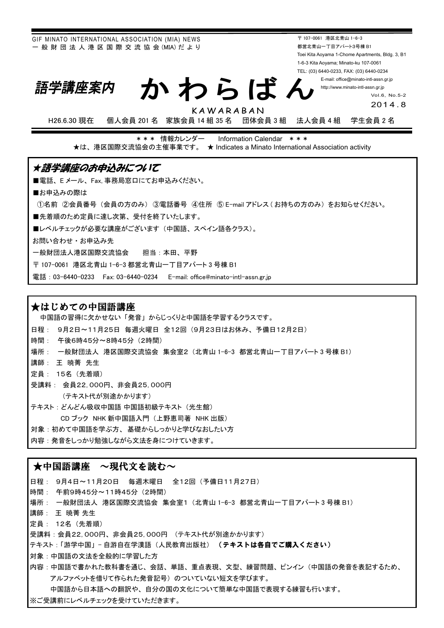GIF MINATO INTERNATIONAL ASSOCIATION (MIA) NEWS - 般 財 団 法 人 港 区 国 際 交 流 協 会 (MIA) だ より

〒 107-0061 港区北青山 1-6-3 都営北青山一丁目アパート3号棟 B1 Toei Kita Aoyama 1-Chome Apartments, Bldg. 3, B1 1-6-3 Kita Aoyama; Minato-ku 107-0061 TEL: (03) 6440-0233, FAX: (03) 6440-0234

> E-mail: office@minato-intl-assn.gr.jp http://www.minato-intl-assn.gr.jp

# かわらばん

Vol.6, No.5-2

201 4.8

H26.6.30 現在 個人会員 201 名 家族会員 14 組 35 名 団体会員 3 組 法人会員 4 組 学生会員 2 名

KAWARABAN

\*\*\* 情報カレンダー Information Calendar \*\*\* ★は、港区国際交流協会の主催事業です。 ★ Indicates a Minato International Association activity

### ★語学講座のお申込みについて

■電話、Eメール、Fax,事務局窓口にてお申込みください。

■お申込みの際は

①名前 ②会員番号(会員の方のみ) ③電話番号 ④住所 ⑤ E-mail アドレス (お持ちの方のみ) をお知らせください。

■先着順のため定員に達し次第、受付を終了いたします。

■レベルチェックが必要な講座がございます(中国語、スペイン語各クラス)。

お問い合わせ·お申込み先

語学講座案内

一般財団法人港区国際交流協会 担当:本田、平野

〒 107-0061 港区北青山 1-6-3 都営北青山一丁目アパート3号棟 B1

電話: 03-6440-0233 Fax: 03-6440-0234 E-mail: office@minato-intl-assn.gr.jp

### ★はじめての中国語講座

中国語の習得に欠かせない「発音」からじっくりと中国語を学習するクラスです。

- 日程: 9月2日~11月25日 毎週火曜日 全12回 (9月23日はお休み、予備日12月2日)
- 時間: 午後6時45分~8時45分 (2時間)

場所: 一般財団法人 港区国際交流協会 集会室2(北青山 1-6-3 都営北青山一丁目アパート3号棟 B1)

- 譴師: 王 暁菁 先生
- 定員: 15名 (先着順)
- 受講料: 会員22,000円、非会員25,000円 (テキスト代が別途かかります)

テキスト : どんどん吸収中国語 中国語初級テキスト (光生館)

CD ブック NHK 新中国語入門(上野恵司著 NHK 出版〕

対象:初めて中国語を学ぶ方、基礎からしっかりと学びなおしたい方

内容:発音をしっかり勉強しながら文法を身につけていきます。

#### ★中国語講座 ~現代文を読む~

日程: 9月4日~11月20日 每週木曜日 全12回 (予備日11月27日) 時間: 午前9時45分~11時45分 (2時間) 場所: 一般財団法人 港区国際交流協会 集会室1 (北青山 1-6-3 都営北青山一丁目アパート3号棟 B1) 講師: 王暁菁先生 定員: 12名 (先着順) 受講料: 会員22,000円、非会員25,000円 (テキスト代が別途かかります) テキスト:「游学中国」-自游自在学漢語(人民教育出版社) (テキストは各自でご購入ください) 対象: 中国語の文法を全般的に学習した方 内容:中国語で書かれた教科書を通じ、会話、単語、重点表現、文型、練習問題、ピンイン(中国語の発音を表記するため、 アルファベットを借りて作られた発音記号)のついていない短文を学びます。 中国語から日本語への翻訳や、自分の国の文化について簡単な中国語で表現する練習も行います。

※ご受講前にレベルチェックを受けていただきます。